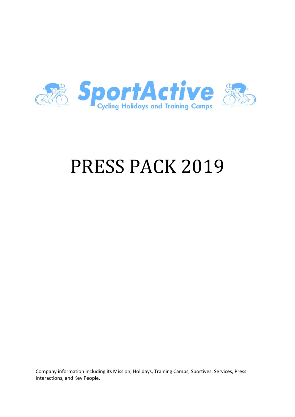

# PRESS PACK 2019

Company information including its Mission, Holidays, Training Camps, Sportives, Services, Press Interactions, and Key People.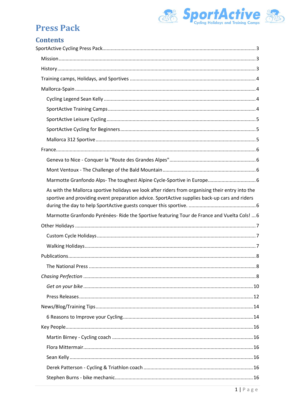

# **Contents**

| As with the Mallorca sportive holidays we look after riders from organising their entry into the<br>sportive and providing event preparation advice. SportActive supplies back-up cars and riders |
|---------------------------------------------------------------------------------------------------------------------------------------------------------------------------------------------------|
| Marmotte Granfondo Pyrénées- Ride the Sportive featuring Tour de France and Vuelta Cols!  6                                                                                                       |
|                                                                                                                                                                                                   |
|                                                                                                                                                                                                   |
|                                                                                                                                                                                                   |
|                                                                                                                                                                                                   |
| The National Press<br>8                                                                                                                                                                           |
|                                                                                                                                                                                                   |
|                                                                                                                                                                                                   |
|                                                                                                                                                                                                   |
|                                                                                                                                                                                                   |
|                                                                                                                                                                                                   |
|                                                                                                                                                                                                   |
|                                                                                                                                                                                                   |
|                                                                                                                                                                                                   |
|                                                                                                                                                                                                   |
|                                                                                                                                                                                                   |
|                                                                                                                                                                                                   |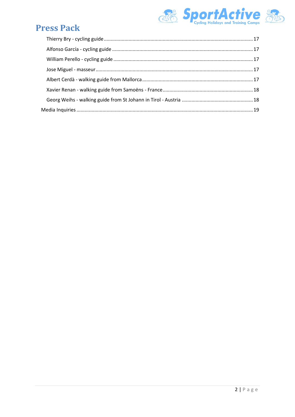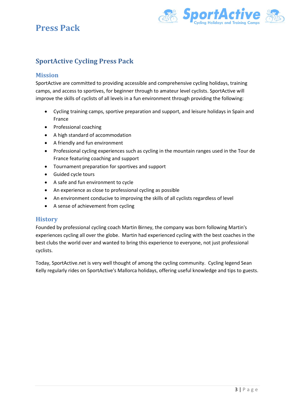

# <span id="page-3-0"></span>**SportActive Cycling Press Pack**

#### <span id="page-3-1"></span>**Mission**

SportActive are committed to providing accessible and comprehensive cycling holidays, training camps, and access to sportives, for beginner through to amateur level cyclists. SportActive will improve the skills of cyclists of all levels in a fun environment through providing the following:

- Cycling training camps, sportive preparation and support, and leisure holidays in Spain and France
- Professional coaching
- A high standard of accommodation
- A friendly and fun environment
- Professional cycling experiences such as cycling in the mountain ranges used in the Tour de France featuring coaching and support
- Tournament preparation for sportives and support
- Guided cycle tours
- A safe and fun environment to cycle
- An experience as close to professional cycling as possible
- An environment conducive to improving the skills of all cyclists regardless of level
- A sense of achievement from cycling

### <span id="page-3-2"></span>**History**

Founded by professional cycling coach Martin Birney, the company was born following Martin's experiences cycling all over the globe. Martin had experienced cycling with the best coaches in the best clubs the world over and wanted to bring this experience to everyone, not just professional cyclists.

Today, SportActive.net is very well thought of among the cycling community. Cycling legend Sean Kelly regularly rides on SportActive's Mallorca holidays, offering useful knowledge and tips to guests.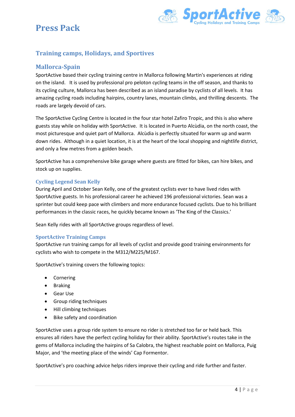



# <span id="page-4-0"></span>**Training camps, Holidays, and Sportives**

### <span id="page-4-1"></span>**Mallorca-Spain**

SportActive based their cycling training centre in Mallorca following Martin's experiences at riding on the island. It is used by professional pro peloton cycling teams in the off season, and thanks to its cycling culture, Mallorca has been described as an island paradise by cyclists of all levels. It has amazing cycling roads including hairpins, country lanes, mountain climbs, and thrilling descents. The roads are largely devoid of cars.

The SportActive Cycling Centre is located in the four star hotel Zafiro Tropic, and this is also where guests stay while on holiday with SportActive. It is located in Puerto Alcùdia, on the north coast, the most picturesque and quiet part of Mallorca. Alcùdia is perfectly situated for warm up and warm down rides. Although in a quiet location, it is at the heart of the local shopping and nightlife district, and only a few metres from a golden beach.

SportActive has a comprehensive bike garage where guests are fitted for bikes, can hire bikes, and stock up on supplies.

#### <span id="page-4-2"></span>**Cycling Legend Sean Kelly**

During April and October Sean Kelly, one of the greatest cyclists ever to have lived rides with SportActive guests. In his professional career he achieved 196 professional victories. Sean was a sprinter but could keep pace with climbers and more endurance focused cyclists. Due to his brilliant performances in the classic races, he quickly became known as 'The King of the Classics.'

Sean Kelly rides with all SportActive groups regardless of level.

#### <span id="page-4-3"></span>**SportActive Training Camps**

SportActive run training camps for all levels of cyclist and provide good training environments for cyclists who wish to compete in the M312/M225/M167.

SportActive's training covers the following topics:

- Cornering
- Braking
- Gear Use
- Group riding techniques
- Hill climbing techniques
- Bike safety and coordination

SportActive uses a group ride system to ensure no rider is stretched too far or held back. This ensures all riders have the perfect cycling holiday for their ability. SportActive's routes take in the gems of Mallorca including the hairpins of Sa Calobra, the highest reachable point on Mallorca, Puig Major, and 'the meeting place of the winds' Cap Formentor.

SportActive's pro coaching advice helps riders improve their cycling and ride further and faster.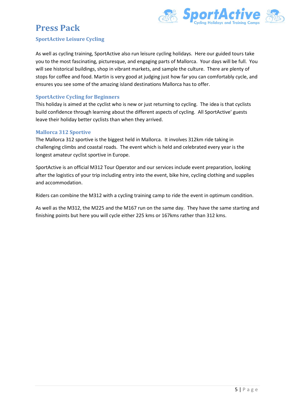

#### <span id="page-5-0"></span>**SportActive Leisure Cycling**

As well as cycling training, SportActive also run leisure cycling holidays. Here our guided tours take you to the most fascinating, picturesque, and engaging parts of Mallorca. Your days will be full. You will see historical buildings, shop in vibrant markets, and sample the culture. There are plenty of stops for coffee and food. Martin is very good at judging just how far you can comfortably cycle, and ensures you see some of the amazing island destinations Mallorca has to offer.

### <span id="page-5-1"></span>**SportActive Cycling for Beginners**

This holiday is aimed at the cyclist who is new or just returning to cycling. The idea is that cyclists build confidence through learning about the different aspects of cycling. All SportActive' guests leave their holiday better cyclists than when they arrived.

#### <span id="page-5-2"></span>**Mallorca 312 Sportive**

The Mallorca 312 sportive is the biggest held in Mallorca. It involves 312km ride taking in challenging climbs and coastal roads. The event which is held and celebrated every year is the longest amateur cyclist sportive in Europe.

SportActive is an official M312 Tour Operator and our services include event preparation, looking after the logistics of your trip including entry into the event, bike hire, cycling clothing and supplies and accommodation.

Riders can combine the M312 with a cycling training camp to ride the event in optimum condition.

As well as the M312, the M225 and the M167 run on the same day. They have the same starting and finishing points but here you will cycle either 225 kms or 167kms rather than 312 kms.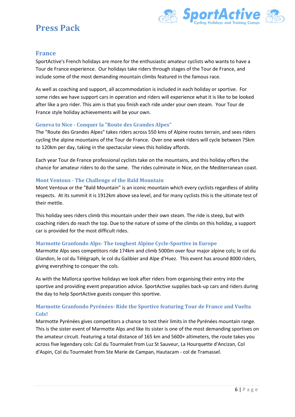

### <span id="page-6-0"></span>**France**

SportActive's French holidays are more for the enthusiastic amateur cyclists who wants to have a Tour de France experience. Our holidays take riders through stages of the Tour de France, and include some of the most demanding mountain climbs featured in the famous race.

As well as coaching and support, all accommodation is included in each holiday or sportive. For some rides we have support cars in operation and riders will experience what it is like to be looked after like a pro rider. This aim is that you finish each ride under your own steam. Your Tour de France style holiday achievements will be your own.

#### <span id="page-6-1"></span>**Geneva to Nice - Conquer la "Route des Grandes Alpes"**

The "Route des Grandes Alpes" takes riders across 550 kms of Alpine routes terrain, and sees riders cycling the alpine mountains of the Tour de France. Over one week riders will cycle between 75km to 120km per day, taking in the spectacular views this holiday affords.

Each year Tour de France professional cyclists take on the mountains, and this holiday offers the chance for amateur riders to do the same. The rides culminate in Nice, on the Mediterranean coast.

### <span id="page-6-2"></span>**Mont Ventoux - The Challenge of the Bald Mountain**

Mont Ventoux or the "Bald Mountain" is an iconic mountain which every cyclists regardless of ability respects. At its summit it is 1912km above sea level, and for many cyclists this is the ultimate test of their mettle.

This holiday sees riders climb this mountain under their own steam. The ride is steep, but with coaching riders do reach the top. Due to the nature of some of the climbs on this holiday, a support car is provided for the most difficult rides.

#### <span id="page-6-3"></span>**Marmotte Granfondo Alps- The toughest Alpine Cycle-Sportive in Europe**

Marmotte Alps sees competitors ride 174km and climb 5000m over four major alpine cols; le col du Glandon, le col du Télégraph, le col du Galibier and Alpe d'Huez. This event has around 8000 riders, giving everything to conquer the cols.

<span id="page-6-4"></span>As with the Mallorca sportive holidays we look after riders from organising their entry into the sportive and providing event preparation advice. SportActive supplies back-up cars and riders during the day to help SportActive guests conquer this sportive.

### <span id="page-6-5"></span>**Marmotte Granfondo Pyrénées- Ride the Sportive featuring Tour de France and Vuelta Cols!**

Marmotte Pyrénées gives competitors a chance to test their limits in the Pyrénées mountain range. This is the sister event of Marmotte Alps and like its sister is one of the most demanding sportives on the amateur circuit. Featuring a total distance of 165 km and 5600+ altimeters, the route takes you across five legendary cols: Col du Tourmalet from Luz St Sauveur, La Hourquette d'Ancizan, Col d'Aspin, Col du Tourmalet from Ste Marie de Campan, Hautacam - col de Tramassel.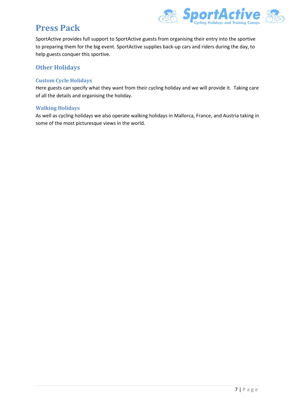

SportActive provides full support to SportActive guests from organising their entry into the sportive to preparing them for the big event. SportActive supplies back-up cars and riders during the day, to help guests conquer this sportive.

## <span id="page-7-0"></span>**Other Holidays**

### <span id="page-7-1"></span>**Custom Cycle Holidays**

Here guests can specify what they want from their cycling holiday and we will provide it. Taking care of all the details and organising the holiday.

### <span id="page-7-2"></span>**Walking Holidays**

As well as cycling holidays we also operate walking holidays in Mallorca, France, and Austria taking in some of the most picturesque views in the world.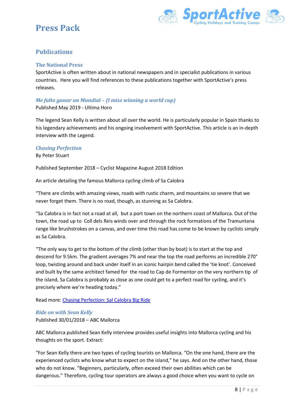

# <span id="page-8-0"></span>**Publications**

### <span id="page-8-1"></span>**The National Press**

SportActive is often written about in national newspapers and in specialist publications in various countries. Here you will find references to these publications together with SportActive's press releases.

### *Me falto ganar un Mundial – (I miss winning a world cup)*

Published May 2019 - Ultima Horo

The legend Sean Kelly is written about all over the world. He is particularly popular in Spain thanks to his legendary achievements and his ongoing involvement with SportActive. This article is an in-depth interview with the Legend.

#### <span id="page-8-2"></span>*Chasing Perfection*

#### By Peter Stuart

Published September 2018 – Cyclist Magazine August 2018 Edition

An article detailing the famous Mallorca cycling climb of Sa Calobra

"There are climbs with amazing views, roads with rustic charm, and mountains so severe that we never forget them. There is no road, though, as stunning as Sa Calobra.

"Sa Calobra is in fact not a road at all, but a port town on the northern coast of Mallorca. Out of the town, the road up to Coll dels Reis winds over and through the rock formations of the Tramuntana range like brushstrokes on a canvas, and over time this road has come to be known by cyclists simply as Sa Calobra.

"The only way to get to the bottom of the climb (other than by boat) is to start at the top and descend for 9.5km. The gradient averages 7% and near the top the road performs an incredible 270° loop, twisting around and back under itself in an iconic hairpin bend called the 'tie knot'. Conceived and built by the same architect famed for the road to Cap de Formentor on the very northern tip of the island, Sa Calobra is probably as close as one could get to a perfect road for cycling, and it's precisely where we're heading today."

Read more: [Chasing Perfection: Sal Calobra Big Ride](https://www.cyclist.co.uk/in-depth/6344/chasing-perfection-sa-calobra-big-ride)

### *Ride on with Sean Kelly* Published 30/01/2018 – ABC Mallorca

ABC Mallorca published Sean Kelly interview provides useful insights into Mallorca cycling and his thoughts on the sport. Extract:

"For Sean Kelly there are two types of cycling tourists on Mallorca. "On the one hand, there are the experienced cyclists who know what to expect on the island," he says. And on the other hand, those who do not know. "Beginners, particularly, often exceed their own abilities which can be dangerous." Therefore, cycling tour operators are always a good choice when you want to cycle on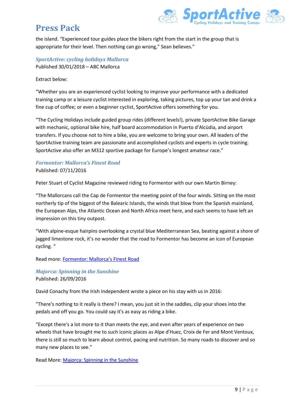

the island. "Experienced tour guides place the bikers right from the start in the group that is appropriate for their level. Then nothing can go wrong," Sean believes."

### *SportActive: cycling holidays Mallorca* Published 30/01/2018 – ABC Mallorca

Extract below:

"Whether you are an experienced cyclist looking to improve your performance with a dedicated training camp or a leisure cyclist interested in exploring, taking pictures, top up your tan and drink a fine cup of coffee; or even a beginner cyclist, SportActive offers something for you.

"The Cycling Holidays include guided group rides (different levels!), private SportActive Bike Garage with mechanic, optional bike hire, half board accommodation in Puerto d'Alcùdia, and airport transfers. If you choose not to hire a bike, you are welcome to bring your own. All leaders of the SportActive training team are passionate and accomplished cyclists and experts in cycle training. SportActive also offer an M312 sportive package for Europe's longest amateur race."

### *Formentor: Mallorca's Finest Road* Published: 07/11/2016

Peter Stuart of Cyclist Magazine reviewed riding to Formentor with our own Martin Birney:

"The Mallorcans call the Cap de Formentor the meeting point of the four winds. Sitting on the most northerly tip of the biggest of the Balearic Islands, the winds that blow from the Spanish mainland, the European Alps, the Atlantic Ocean and North Africa meet here, and each seems to have left an impression on this tiny outpost.

"With alpine-esque hairpins overlooking a crystal blue Mediterranean Sea, beating against a shore of jagged limestone rock, it's no wonder that the road to Formentor has become an icon of European cycling. "

Read more: [Formentor: Mallorca's Finest Road](http://www.cyclist.co.uk/in-depth/1634/formentor-mallorcas-finest-road)

*Majorca: Spinning in the Sunshine* Published: 26/09/2016

David Conachy from the Irish Independent wrote a piece on his stay with us in 2016:

"There's nothing to it really is there? I mean, you just sit in the saddles, clip your shoes into the pedals and off you go. You could say it's as easy as riding a bike.

"Except there's a lot more to it than meets the eye, and even after years of experience on two wheels that have brought me to such iconic places as Alpe d'Huez, Croix de Fer and Mont Ventoux, there is still so much to learn about control, pacing and nutrition. So many roads to discover and so many new places to see."

Read More: [Majorca: Spinning in the Sunshine](http://www.independent.ie/life/travel/europe/majorca-spinning-in-the-sunshine-35073812.html)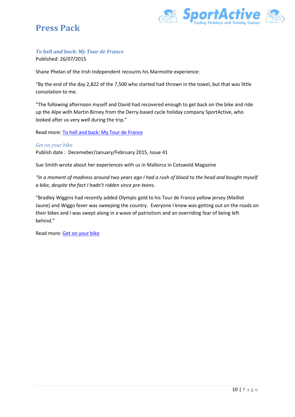

# *To hell and back: My Tour de France*

Published: 26/07/2015

Shane Phelan of the Irish Independent recounts his Marmotte experience:

"By the end of the day 2,822 of the 7,500 who started had thrown in the towel, but that was little consolation to me.

"The following afternoon myself and David had recovered enough to get back on the bike and ride up the Alpe with Martin Birney from the Derry-based cycle holiday company SportActive, who looked after us very well during the trip."

Read more: [To hell and back: My Tour de France](http://www.independent.ie/life/health-wellbeing/fitness/to-hell-and-back-my-tour-de-france-31398704.html)

#### <span id="page-10-0"></span>*Get on your bike*

Publish date : Decemeber/January/February 2015, Issue 41

Sue Smith wrote about her experiences with us in Mallorca in Cotswold Magazine

*"In a moment of madness around two years ago I had a rush of blood to the head and bought myself a bike, despite the fact I hadn't ridden since pre-teens.*

"Bradley Wiggins had recently added Olympic gold to his Tour de France yellow jersey (Maillot Jaune) and Wiggo fever was sweeping the country. Everyone I knew was getting out on the roads on their bikes and I was swept along in a wave of patriotism and an overriding fear of being left behind."

Read more: [Get on your bike](http://edition.pagesuite-professional.co.uk/launch.aspx?eid=db584270-073e-4ee0-ad76-cab20c82cead)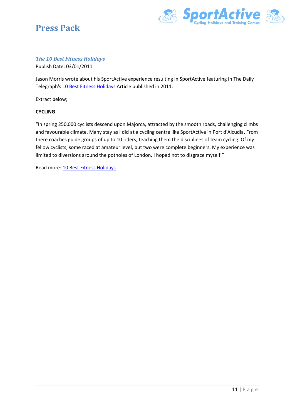



### *The 10 Best Fitness Holidays*

Publish Date: 03/01/2011

Jason Morris wrote about his SportActive experience resulting in SportActive featuring in The Daily Telegraph's [10 Best Fitness Holidays](file:///C:/Users/Richard%20Desktop/Dropbox/1Marketing/Press%20pack/Press%20Pack%20Sportactive%202017-draft.pdf) Article published in 2011.

Extract below;

#### **CYCLING**

"In spring 250,000 cyclists descend upon Majorca, attracted by the smooth roads, challenging climbs and favourable climate. Many stay as I did at a cycling centre like SportActive in Port d'Alcudia. From there coaches guide groups of up to 10 riders, teaching them the disciplines of team cycling. Of my fellow cyclists, some raced at amateur level, but two were complete beginners. My experience was limited to diversions around the potholes of London. I hoped not to disgrace myself."

Read more: [10 Best Fitness Holidays](file:///C:/Users/Richard%20Desktop/Dropbox/1Marketing/Press%20pack/Press%20Pack%20Sportactive%202017-draft.pdf)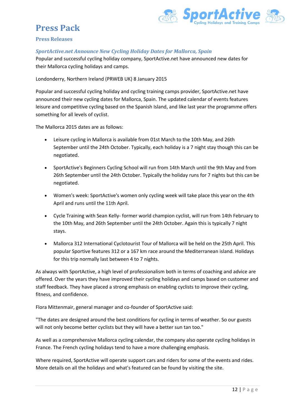

#### <span id="page-12-0"></span>**Press Releases**

#### *SportActive.net Announce New Cycling Holiday Dates for Mallorca, Spain*

Popular and successful cycling holiday company, SportActive.net have announced new dates for their Mallorca cycling holidays and camps.

Londonderry, Northern Ireland (PRWEB UK) 8 January 2015

Popular and successful cycling holiday and cycling training camps provider, SportActive.net have announced their new cycling dates for Mallorca, Spain. The updated calendar of events features leisure and competitive cycling based on the Spanish Island, and like last year the programme offers something for all levels of cyclist.

The Mallorca 2015 dates are as follows:

- Leisure cycling in Mallorca is available from 01st March to the 10th May, and 26th September until the 24th October. Typically, each holiday is a 7 night stay though this can be negotiated.
- SportActive's Beginners Cycling School will run from 14th March until the 9th May and from 26th September until the 24th October. Typically the holiday runs for 7 nights but this can be negotiated.
- Women's week: SportActive's women only cycling week will take place this year on the 4th April and runs until the 11th April.
- Cycle Training with Sean Kelly- former world champion cyclist, will run from 14th February to the 10th May, and 26th September until the 24th October. Again this is typically 7 night stays.
- Mallorca 312 International Cyclotourist Tour of Mallorca will be held on the 25th April. This popular Sportive features 312 or a 167 km race around the Mediterranean island. Holidays for this trip normally last between 4 to 7 nights.

As always with SportActive, a high level of professionalism both in terms of coaching and advice are offered. Over the years they have improved their cycling holidays and camps based on customer and staff feedback. They have placed a strong emphasis on enabling cyclists to improve their cycling, fitness, and confidence.

Flora Mittenmair, general manager and co-founder of SportActive said:

"The dates are designed around the best conditions for cycling in terms of weather. So our guests will not only become better cyclists but they will have a better sun tan too."

As well as a comprehensive Mallorca cycling calendar, the company also operate cycling holidays in France. The French cycling holidays tend to have a more challenging emphasis.

Where required, SportActive will operate support cars and riders for some of the events and rides. More details on all the holidays and what's featured can be found by visiting the site.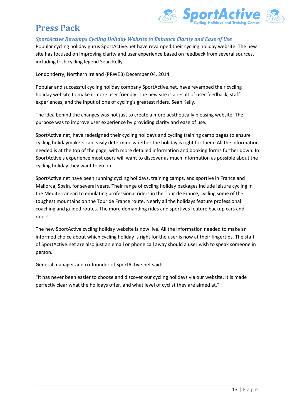

### *SportActive Revamps Cycling Holiday Website to Enhance Clarity and Ease of Use*

Popular cycling holiday gurus SportActive.net have revamped their cycling holiday website. The new site has focused on improving clarity and user experience based on feedback from several sources, including Irish cycling legend Sean Kelly.

Londonderry, Northern Ireland (PRWEB) December 04, 2014

Popular and successful cycling holiday company SportActive.net, have revamped their cycling holiday website to make it more user friendly. The new site is a result of user feedback, staff experiences, and the input of one of cycling's greatest riders, Sean Kelly.

The idea behind the changes was not just to create a more aesthetically pleasing website. The purpose was to improve user experience by providing clarity and ease of use.

SportActive.net, have redesigned their cycling holidays and cycling training camp pages to ensure cycling holidaymakers can easily determine whether the holiday is right for them. All the information needed is at the top of the page, with more detailed information and booking forms further down. In SportActive's experience most users will want to discover as much information as possible about the cycling holiday they want to go on.

SportActive.net have been running cycling holidays, training camps, and sportive in France and Mallorca, Spain, for several years. Their range of cycling holiday packages include leisure cycling in the Mediterranean to emulating professional riders in the Tour de France, cycling some of the toughest mountains on the Tour de France route. Nearly all the holidays feature professional coaching and guided routes. The more demanding rides and sportives feature backup cars and riders.

The new SportActive cycling holiday website is now live. All the information needed to make an informed choice about which cycling holiday is right for the user is now at their fingertips. The staff of SportActive.net are also just an email or phone call away should a user wish to speak someone in person.

General manager and co-founder of SportActive.net said:

"It has never been easier to choose and discover our cycling holidays via our website. It is made perfectly clear what the holidays offer, and what level of cyclist they are aimed at."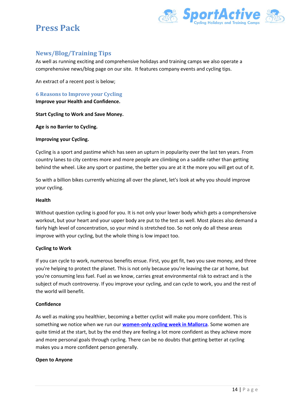

# <span id="page-14-0"></span>**News/Blog/Training Tips**

As well as running exciting and comprehensive holidays and training camps we also operate a comprehensive news/blog page on our site. It features company events and cycling tips.

An extract of a recent post is below;

<span id="page-14-1"></span>**6 Reasons to Improve your Cycling Improve your Health and Confidence.**

**Start Cycling to Work and Save Money.**

**Age is no Barrier to Cycling.**

#### **Improving your Cycling.**

Cycling is a sport and pastime which has seen an upturn in popularity over the last ten years. From country lanes to city centres more and more people are climbing on a saddle rather than getting behind the wheel. Like any sport or pastime, the better you are at it the more you will get out of it.

So with a billion bikes currently whizzing all over the planet, let's look at why you should improve your cycling.

#### **Health**

Without question cycling is good for you. It is not only your lower body which gets a comprehensive workout, but your heart and your upper body are put to the test as well. Most places also demand a fairly high level of concentration, so your mind is stretched too. So not only do all these areas improve with your cycling, but the whole thing is low impact too.

#### **Cycling to Work**

If you can cycle to work, numerous benefits ensue. First, you get fit, two you save money, and three you're helping to protect the planet. This is not only because you're leaving the car at home, but you're consuming less fuel. Fuel as we know, carries great environmental risk to extract and is the subject of much controversy. If you improve your cycling, and can cycle to work, you and the rest of the world will benefit.

#### **Confidence**

As well as making you healthier, becoming a better cyclist will make you more confident. This is something we notice when we run our **[women-only cycling week in Mallorca](http://sportactive.net/en/Cycling-holidays-and-camps/mallorca-women-cycling-week.html)**. Some women are quite timid at the start, but by the end they are feeling a lot more confident as they achieve more and more personal goals through cycling. There can be no doubts that getting better at cycling makes you a more confident person generally.

#### **Open to Anyone**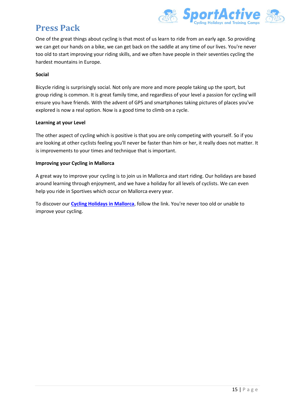

One of the great things about cycling is that most of us learn to ride from an early age. So providing we can get our hands on a bike, we can get back on the saddle at any time of our lives. You're never too old to start improving your riding skills, and we often have people in their seventies cycling the hardest mountains in Europe.

#### **Social**

Bicycle riding is surprisingly social. Not only are more and more people taking up the sport, but group riding is common. It is great family time, and regardless of your level a passion for cycling will ensure you have friends. With the advent of GPS and smartphones taking pictures of places you've explored is now a real option. Now is a good time to climb on a cycle.

#### **Learning at your Level**

The other aspect of cycling which is positive is that you are only competing with yourself. So if you are looking at other cyclists feeling you'll never be faster than him or her, it really does not matter. It is improvements to your times and technique that is important.

#### **Improving your Cycling in Mallorca**

A great way to improve your cycling is to join us in Mallorca and start riding. Our holidays are based around learning through enjoyment, and we have a holiday for all levels of cyclists. We can even help you ride in Sportives which occur on Mallorca every year.

To discover our **[Cycling Holidays in Mallorca](http://www.sportactive.net/)**, follow the link. You're never too old or unable to improve your cycling.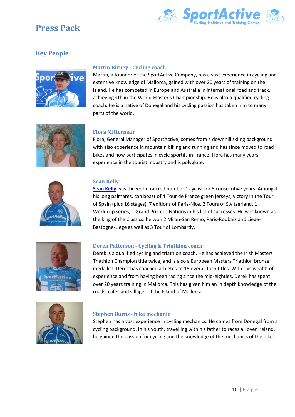

# <span id="page-16-0"></span>**Key People**



#### <span id="page-16-1"></span>**Martin Birney - Cycling coach**

Martin, a founder of the SportActive Company, has a vast experience in cycling and extensive knowledge of Mallorca, gained with over 20 years of training on the island. He has competed in Europe and Australia in international road and track, achieving 4th in the World Master's Championship. He is also a qualified cycling coach. He is a native of Donegal and his cycling passion has taken him to many parts of the world.



#### <span id="page-16-2"></span>**Flora Mittermair**

Flora, General Manager of SportActive, comes from a downhill skiing background with also experience in mountain biking and running and has since moved to road bikes and now participates in cycle sportifs in France. Flora has many years experience in the tourist industry and is polyglote.



#### <span id="page-16-3"></span>**Sean Kelly**

**[Sean Kelly](http://sportactive.net/)** was the world ranked number 1 cyclist for 5 consecutive years. Amongst his long palmares, can boast of 4 Tour de France green jerseys, victory in the Tour of Spain (plus 16 stages), 7 editions of Paris-Nice, 2 Tours of Switzerland, 1 Worldcup series, 1 Grand Prix des Nations in his list of successes. He was known as the king of the Classics: he won 2 Milan-San Remo, Paris-Roubaix and Liège-Bastogne-Liège as well as 3 Tour of Lombardy.



#### <span id="page-16-4"></span>**Derek Patterson - Cycling & Triathlon coach**

Derek is a qualified cycling and triathlon coach. He has achieved the Irish Masters Triathlon Champion title twice, and is also a European Masters Triathlon bronze medallist. Derek has coached athletes to 15 overall Irish titles. With this wealth of experience and from having been racing since the mid-eighties, Derek has spent over 20 years training in Mallorca. This has given him an in depth knowledge of the roads, cafes and villages of the Island of Mallorca.



#### <span id="page-16-5"></span>**Stephen Burns - bike mechanic**

Stephen has a vast experience in cycling mechanics. He comes from Donegal from a cycling background. In his youth, travelling with his father to races all over Ireland, he gained the passion for cycling and the knowledge of the mechanics of the bike.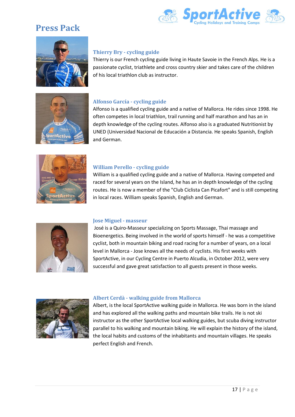





### <span id="page-17-0"></span>**Thierry Bry - cycling guide**

Thierry is our French cycling guide living in Haute Savoie in the French Alps. He is a passionate cyclist, triathlete and cross country skier and takes care of the children of his local triathlon club as instructor.

### <span id="page-17-1"></span>**Alfonso García - cycling guide**

Alfonso is a qualified cycling guide and a native of Mallorca. He rides since 1998. He often competes in local triathlon, trail running and half marathon and has an in depth knowledge of the cycling routes. Alfonso also is a graduated Nutritionist by UNED (Universidad Nacional de Educación a Distancia. He speaks Spanish, English and German.



#### <span id="page-17-2"></span>**William Perello - cycling guide**

William is a qualified cycling guide and a native of Mallorca. Having competed and raced for several years on the Island, he has an in depth knowledge of the cycling routes. He is now a member of the "Club Ciclista Can Picafort" and is still competing in local races. William speaks Spanish, English and German.



#### <span id="page-17-3"></span>**Jose Miguel - masseur**

José is a Quiro-Masseur specializing on Sports Massage, Thai massage and Bioenergetics. Being involved in the world of sports himself - he was a competitive cyclist, both in mountain biking and road racing for a number of years, on a local level in Mallorca - Jose knows all the needs of cyclists. His first weeks with SportActive, in our Cycling Centre in Puerto Alcudia, in October 2012, were very successful and gave great satisfaction to all guests present in those weeks.



#### <span id="page-17-4"></span>**Albert Cerdà - walking guide from Mallorca**

Albert, is the local SportActive walking guide in Mallorca. He was born in the island and has explored all the walking paths and mountain bike trails. He is not ski instructor as the other SportActive local walking guides, but scuba diving instructor parallel to his walking and mountain biking. He will explain the history of the island, the local habits and customs of the inhabitants and mountain villages. He speaks perfect English and French.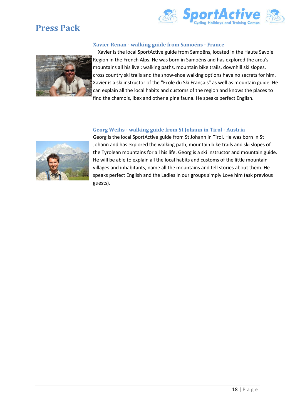



#### <span id="page-18-0"></span>**Xavier Renan - walking guide from Samoëns - France**



Xavier is the local SportActive guide from Samoëns, located in the Haute Savoie Region in the French Alps. He was born in Samoëns and has explored the area's mountains all his live : walking paths, mountain bike trails, downhill ski slopes, cross country ski trails and the snow-shoe walking options have no secrets for him. Xavier is a ski instructor of the "Ecole du Ski Français" as well as mountain guide. He can explain all the local habits and customs of the region and knows the places to find the chamois, ibex and other alpine fauna. He speaks perfect English.

#### <span id="page-18-1"></span>**Georg Weihs - walking guide from St Johann in Tirol - Austria**



Georg is the local SportActive guide from St Johann in Tirol. He was born in St Johann and has explored the walking path, mountain bike trails and ski slopes of the Tyrolean mountains for all his life. Georg is a ski instructor and mountain guide. He will be able to explain all the local habits and customs of the little mountain villages and inhabitants, name all the mountains and tell stories about them. He speaks perfect English and the Ladies in our groups simply Love him (ask previous guests).